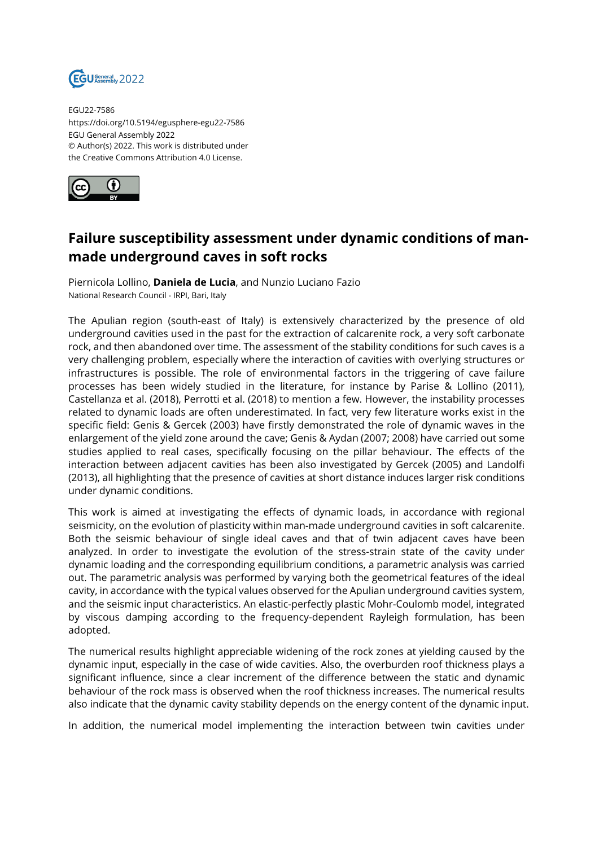

EGU22-7586 https://doi.org/10.5194/egusphere-egu22-7586 EGU General Assembly 2022 © Author(s) 2022. This work is distributed under the Creative Commons Attribution 4.0 License.



## **Failure susceptibility assessment under dynamic conditions of manmade underground caves in soft rocks**

Piernicola Lollino, **Daniela de Lucia**, and Nunzio Luciano Fazio National Research Council - IRPI, Bari, Italy

The Apulian region (south-east of Italy) is extensively characterized by the presence of old underground cavities used in the past for the extraction of calcarenite rock, a very soft carbonate rock, and then abandoned over time. The assessment of the stability conditions for such caves is a very challenging problem, especially where the interaction of cavities with overlying structures or infrastructures is possible. The role of environmental factors in the triggering of cave failure processes has been widely studied in the literature, for instance by Parise & Lollino (2011), Castellanza et al. (2018), Perrotti et al. (2018) to mention a few. However, the instability processes related to dynamic loads are often underestimated. In fact, very few literature works exist in the specific field: Genis & Gercek (2003) have firstly demonstrated the role of dynamic waves in the enlargement of the yield zone around the cave; Genis & Aydan (2007; 2008) have carried out some studies applied to real cases, specifically focusing on the pillar behaviour. The effects of the interaction between adjacent cavities has been also investigated by Gercek (2005) and Landolfi (2013), all highlighting that the presence of cavities at short distance induces larger risk conditions under dynamic conditions.

This work is aimed at investigating the effects of dynamic loads, in accordance with regional seismicity, on the evolution of plasticity within man-made underground cavities in soft calcarenite. Both the seismic behaviour of single ideal caves and that of twin adjacent caves have been analyzed. In order to investigate the evolution of the stress-strain state of the cavity under dynamic loading and the corresponding equilibrium conditions, a parametric analysis was carried out. The parametric analysis was performed by varying both the geometrical features of the ideal cavity, in accordance with the typical values observed for the Apulian underground cavities system, and the seismic input characteristics. An elastic-perfectly plastic Mohr-Coulomb model, integrated by viscous damping according to the frequency-dependent Rayleigh formulation, has been adopted.

The numerical results highlight appreciable widening of the rock zones at yielding caused by the dynamic input, especially in the case of wide cavities. Also, the overburden roof thickness plays a significant influence, since a clear increment of the difference between the static and dynamic behaviour of the rock mass is observed when the roof thickness increases. The numerical results also indicate that the dynamic cavity stability depends on the energy content of the dynamic input.

In addition, the numerical model implementing the interaction between twin cavities under